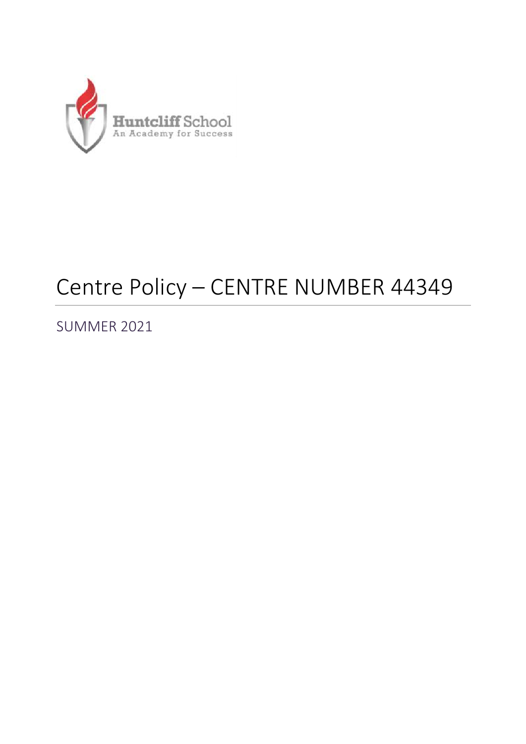

# Centre Policy – CENTRE NUMBER 44349

SUMMER 2021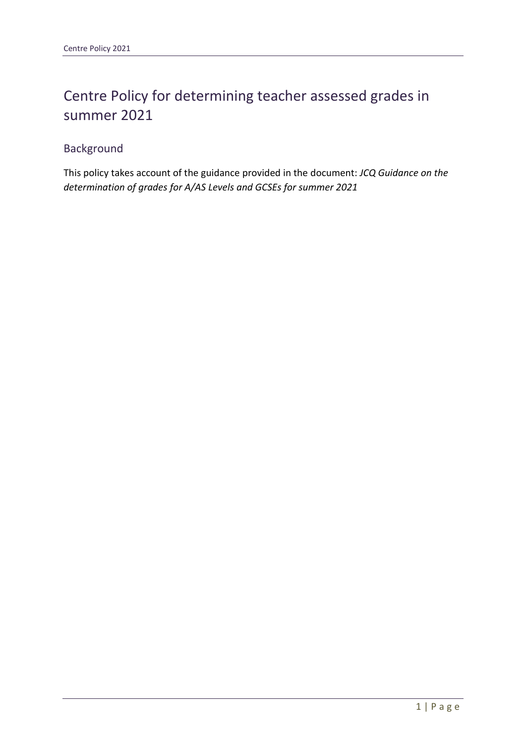## Centre Policy for determining teacher assessed grades in summer 2021

### Background

This policy takes account of the guidance provided in the document: *JCQ Guidance on the determination of grades for A/AS Levels and GCSEs for summer 2021*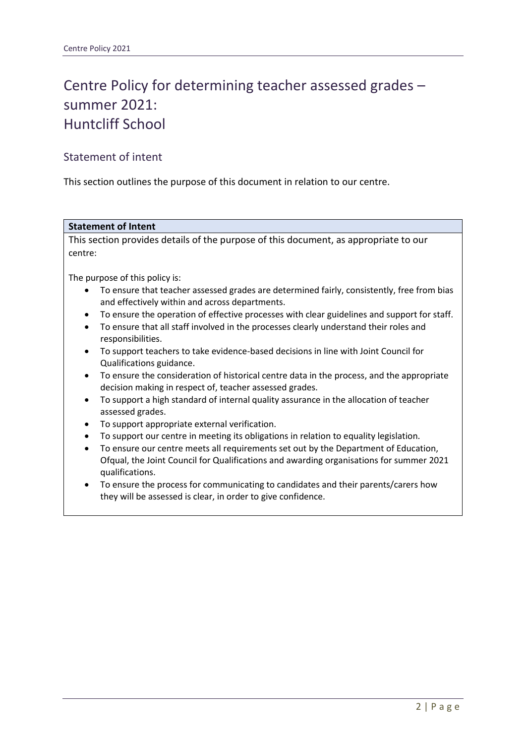# Centre Policy for determining teacher assessed grades – summer 2021: Huntcliff School

### Statement of intent

This section outlines the purpose of this document in relation to our centre.

### **Statement of Intent**

This section provides details of the purpose of this document, as appropriate to our centre:

The purpose of this policy is:

- To ensure that teacher assessed grades are determined fairly, consistently, free from bias and effectively within and across departments.
- To ensure the operation of effective processes with clear guidelines and support for staff.
- To ensure that all staff involved in the processes clearly understand their roles and responsibilities.
- To support teachers to take evidence-based decisions in line with Joint Council for Qualifications guidance.
- To ensure the consideration of historical centre data in the process, and the appropriate decision making in respect of, teacher assessed grades.
- To support a high standard of internal quality assurance in the allocation of teacher assessed grades.
- To support appropriate external verification.
- To support our centre in meeting its obligations in relation to equality legislation.
- To ensure our centre meets all requirements set out by the Department of Education, Ofqual, the Joint Council for Qualifications and awarding organisations for summer 2021 qualifications.
- To ensure the process for communicating to candidates and their parents/carers how they will be assessed is clear, in order to give confidence.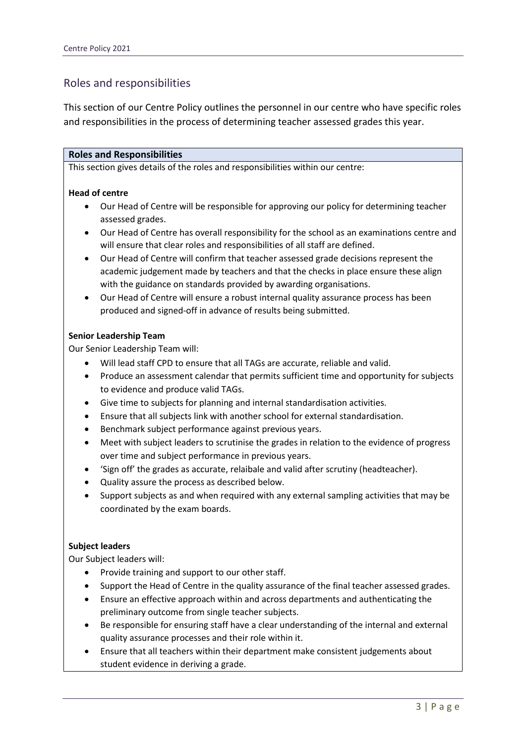### Roles and responsibilities

This section of our Centre Policy outlines the personnel in our centre who have specific roles and responsibilities in the process of determining teacher assessed grades this year.

#### **Roles and Responsibilities**

This section gives details of the roles and responsibilities within our centre:

#### **Head of centre**

- Our Head of Centre will be responsible for approving our policy for determining teacher assessed grades.
- Our Head of Centre has overall responsibility for the school as an examinations centre and will ensure that clear roles and responsibilities of all staff are defined.
- Our Head of Centre will confirm that teacher assessed grade decisions represent the academic judgement made by teachers and that the checks in place ensure these align with the guidance on standards provided by awarding organisations.
- Our Head of Centre will ensure a robust internal quality assurance process has been produced and signed-off in advance of results being submitted.

#### **Senior Leadership Team**

Our Senior Leadership Team will:

- Will lead staff CPD to ensure that all TAGs are accurate, reliable and valid.
- Produce an assessment calendar that permits sufficient time and opportunity for subjects to evidence and produce valid TAGs.
- Give time to subjects for planning and internal standardisation activities.
- Ensure that all subjects link with another school for external standardisation.
- Benchmark subject performance against previous years.
- Meet with subject leaders to scrutinise the grades in relation to the evidence of progress over time and subject performance in previous years.
- 'Sign off' the grades as accurate, relaibale and valid after scrutiny (headteacher).
- Quality assure the process as described below.
- Support subjects as and when required with any external sampling activities that may be coordinated by the exam boards.

#### **Subject leaders**

Our Subject leaders will:

- Provide training and support to our other staff.
- Support the Head of Centre in the quality assurance of the final teacher assessed grades.
- Ensure an effective approach within and across departments and authenticating the preliminary outcome from single teacher subjects.
- Be responsible for ensuring staff have a clear understanding of the internal and external quality assurance processes and their role within it.
- Ensure that all teachers within their department make consistent judgements about student evidence in deriving a grade.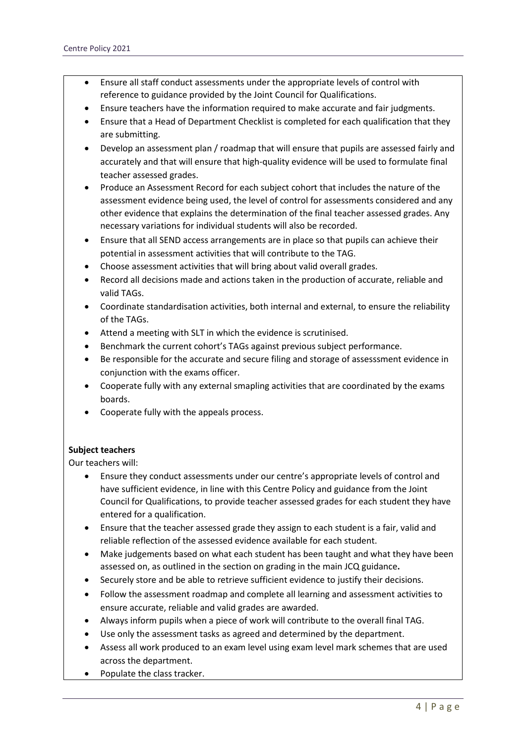- Ensure all staff conduct assessments under the appropriate levels of control with reference to guidance provided by the Joint Council for Qualifications.
- Ensure teachers have the information required to make accurate and fair judgments.
- Ensure that a Head of Department Checklist is completed for each qualification that they are submitting.
- Develop an assessment plan / roadmap that will ensure that pupils are assessed fairly and accurately and that will ensure that high-quality evidence will be used to formulate final teacher assessed grades.
- Produce an Assessment Record for each subject cohort that includes the nature of the assessment evidence being used, the level of control for assessments considered and any other evidence that explains the determination of the final teacher assessed grades. Any necessary variations for individual students will also be recorded.
- Ensure that all SEND access arrangements are in place so that pupils can achieve their potential in assessment activities that will contribute to the TAG.
- Choose assessment activities that will bring about valid overall grades.
- Record all decisions made and actions taken in the production of accurate, reliable and valid TAGs.
- Coordinate standardisation activities, both internal and external, to ensure the reliability of the TAGs.
- Attend a meeting with SLT in which the evidence is scrutinised.
- Benchmark the current cohort's TAGs against previous subject performance.
- Be responsible for the accurate and secure filing and storage of assesssment evidence in conjunction with the exams officer.
- Cooperate fully with any external smapling activities that are coordinated by the exams boards.
- Cooperate fully with the appeals process.

#### **Subject teachers**

Our teachers will:

- Ensure they conduct assessments under our centre's appropriate levels of control and have sufficient evidence, in line with this Centre Policy and guidance from the Joint Council for Qualifications, to provide teacher assessed grades for each student they have entered for a qualification.
- Ensure that the teacher assessed grade they assign to each student is a fair, valid and reliable reflection of the assessed evidence available for each student.
- Make judgements based on what each student has been taught and what they have been assessed on, as outlined in the section on grading in the main JCQ guidance**.**
- Securely store and be able to retrieve sufficient evidence to justify their decisions.
- Follow the assessment roadmap and complete all learning and assessment activities to ensure accurate, reliable and valid grades are awarded.
- Always inform pupils when a piece of work will contribute to the overall final TAG.
- Use only the assessment tasks as agreed and determined by the department.
- Assess all work produced to an exam level using exam level mark schemes that are used across the department.
- Populate the class tracker.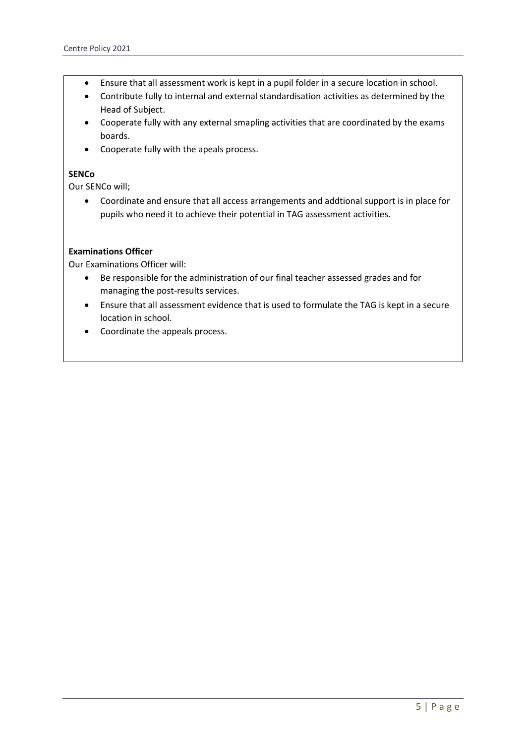- Ensure that all assessment work is kept in a pupil folder in a secure location in school.
- Contribute fully to internal and external standardisation activities as determined by the Head of Subject.
- Cooperate fully with any external smapling activities that are coordinated by the exams boards.
- Cooperate fully with the apeals process.

#### **SENCo**

Our SENCo will;

• Coordinate and ensure that all access arrangements and addtional support is in place for pupils who need it to achieve their potential in TAG assessment activities.

#### **Examinations Officer**

Our Examinations Officer will:

- Be responsible for the administration of our final teacher assessed grades and for managing the post-results services.
- Ensure that all assessment evidence that is used to formulate the TAG is kept in a secure location in school.
- Coordinate the appeals process.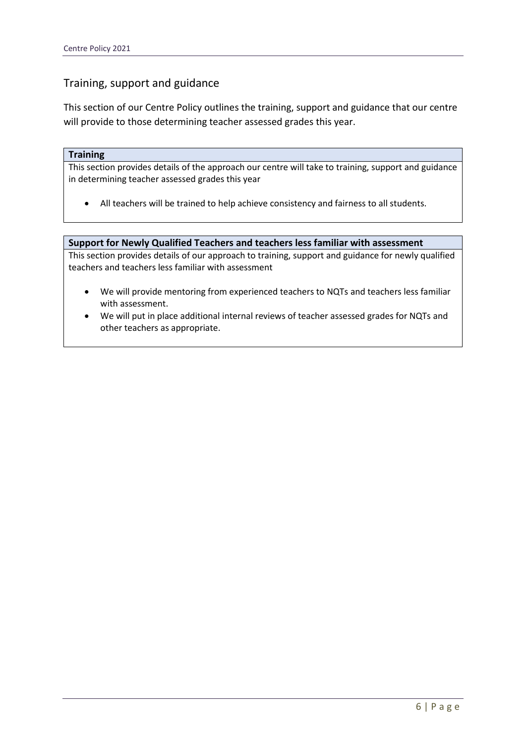### Training, support and guidance

This section of our Centre Policy outlines the training, support and guidance that our centre will provide to those determining teacher assessed grades this year.

#### **Training**

This section provides details of the approach our centre will take to training, support and guidance in determining teacher assessed grades this year

• All teachers will be trained to help achieve consistency and fairness to all students.

#### **Support for Newly Qualified Teachers and teachers less familiar with assessment**

This section provides details of our approach to training, support and guidance for newly qualified teachers and teachers less familiar with assessment

- We will provide mentoring from experienced teachers to NQTs and teachers less familiar with assessment.
- We will put in place additional internal reviews of teacher assessed grades for NQTs and other teachers as appropriate.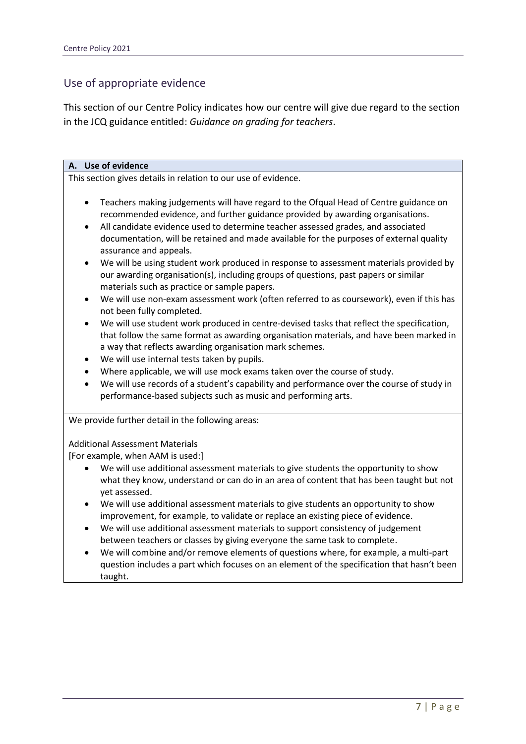### Use of appropriate evidence

This section of our Centre Policy indicates how our centre will give due regard to the section in the JCQ guidance entitled: *Guidance on grading for teachers*.

| A. Use of evidence                                                                                                                                                                                                                                                                                                                                                                                                                                                                                                                                                                                                                                                                                                                                                                                                                                                                                                                                                                                                                                                                                                                                                                                                                                                                                                           |  |  |
|------------------------------------------------------------------------------------------------------------------------------------------------------------------------------------------------------------------------------------------------------------------------------------------------------------------------------------------------------------------------------------------------------------------------------------------------------------------------------------------------------------------------------------------------------------------------------------------------------------------------------------------------------------------------------------------------------------------------------------------------------------------------------------------------------------------------------------------------------------------------------------------------------------------------------------------------------------------------------------------------------------------------------------------------------------------------------------------------------------------------------------------------------------------------------------------------------------------------------------------------------------------------------------------------------------------------------|--|--|
| This section gives details in relation to our use of evidence.                                                                                                                                                                                                                                                                                                                                                                                                                                                                                                                                                                                                                                                                                                                                                                                                                                                                                                                                                                                                                                                                                                                                                                                                                                                               |  |  |
| Teachers making judgements will have regard to the Ofqual Head of Centre guidance on<br>$\bullet$<br>recommended evidence, and further guidance provided by awarding organisations.<br>All candidate evidence used to determine teacher assessed grades, and associated<br>$\bullet$<br>documentation, will be retained and made available for the purposes of external quality<br>assurance and appeals.<br>We will be using student work produced in response to assessment materials provided by<br>$\bullet$<br>our awarding organisation(s), including groups of questions, past papers or similar<br>materials such as practice or sample papers.<br>We will use non-exam assessment work (often referred to as coursework), even if this has<br>$\bullet$<br>not been fully completed.<br>We will use student work produced in centre-devised tasks that reflect the specification,<br>$\bullet$<br>that follow the same format as awarding organisation materials, and have been marked in<br>a way that reflects awarding organisation mark schemes.<br>We will use internal tests taken by pupils.<br>$\bullet$<br>Where applicable, we will use mock exams taken over the course of study.<br>$\bullet$<br>We will use records of a student's capability and performance over the course of study in<br>$\bullet$ |  |  |
| performance-based subjects such as music and performing arts.                                                                                                                                                                                                                                                                                                                                                                                                                                                                                                                                                                                                                                                                                                                                                                                                                                                                                                                                                                                                                                                                                                                                                                                                                                                                |  |  |
| We provide further detail in the following areas:                                                                                                                                                                                                                                                                                                                                                                                                                                                                                                                                                                                                                                                                                                                                                                                                                                                                                                                                                                                                                                                                                                                                                                                                                                                                            |  |  |
| <b>Additional Assessment Materials</b><br>[For example, when AAM is used:]                                                                                                                                                                                                                                                                                                                                                                                                                                                                                                                                                                                                                                                                                                                                                                                                                                                                                                                                                                                                                                                                                                                                                                                                                                                   |  |  |
| We will use additional assessment materials to give students the opportunity to show<br>what they know, understand or can do in an area of content that has been taught but not<br>yet assessed.                                                                                                                                                                                                                                                                                                                                                                                                                                                                                                                                                                                                                                                                                                                                                                                                                                                                                                                                                                                                                                                                                                                             |  |  |
| We will use additional assessment materials to give students an opportunity to show<br>$\bullet$<br>improvement, for example, to validate or replace an existing piece of evidence.                                                                                                                                                                                                                                                                                                                                                                                                                                                                                                                                                                                                                                                                                                                                                                                                                                                                                                                                                                                                                                                                                                                                          |  |  |
| We will use additional assessment materials to support consistency of judgement<br>$\bullet$<br>between teachers or classes by giving everyone the same task to complete.                                                                                                                                                                                                                                                                                                                                                                                                                                                                                                                                                                                                                                                                                                                                                                                                                                                                                                                                                                                                                                                                                                                                                    |  |  |
| We will combine and/or remove elements of questions where, for example, a multi-part<br>$\bullet$<br>question includes a part which focuses on an element of the specification that hasn't been<br>taught.                                                                                                                                                                                                                                                                                                                                                                                                                                                                                                                                                                                                                                                                                                                                                                                                                                                                                                                                                                                                                                                                                                                   |  |  |
|                                                                                                                                                                                                                                                                                                                                                                                                                                                                                                                                                                                                                                                                                                                                                                                                                                                                                                                                                                                                                                                                                                                                                                                                                                                                                                                              |  |  |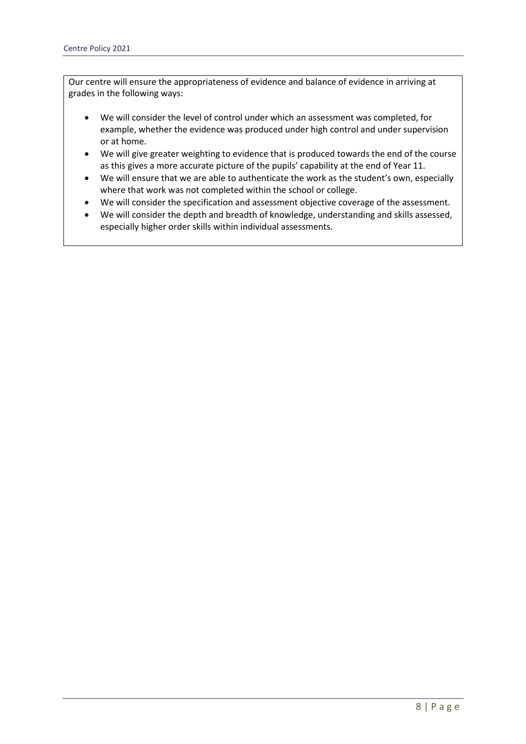Our centre will ensure the appropriateness of evidence and balance of evidence in arriving at grades in the following ways:

- We will consider the level of control under which an assessment was completed, for example, whether the evidence was produced under high control and under supervision or at home.
- We will give greater weighting to evidence that is produced towards the end of the course as this gives a more accurate picture of the pupils' capability at the end of Year 11.
- We will ensure that we are able to authenticate the work as the student's own, especially where that work was not completed within the school or college.
- We will consider the specification and assessment objective coverage of the assessment.
- We will consider the depth and breadth of knowledge, understanding and skills assessed, especially higher order skills within individual assessments.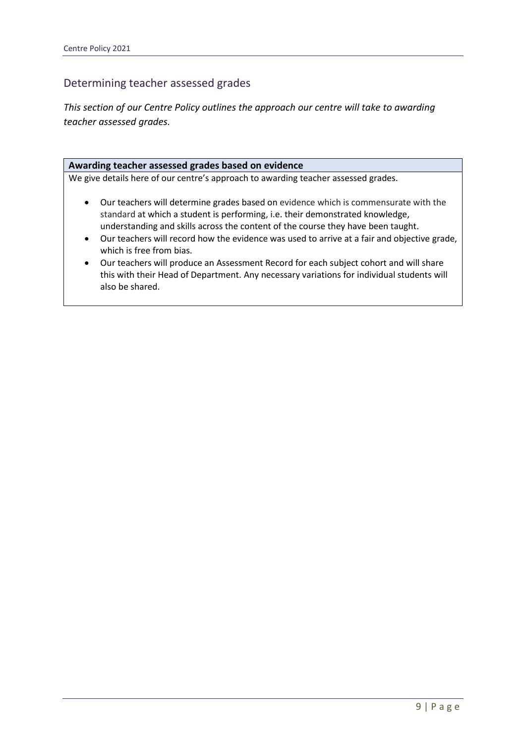### Determining teacher assessed grades

*This section of our Centre Policy outlines the approach our centre will take to awarding teacher assessed grades.*

#### **Awarding teacher assessed grades based on evidence**

We give details here of our centre's approach to awarding teacher assessed grades.

- Our teachers will determine grades based on evidence which is commensurate with the standard at which a student is performing, i.e. their demonstrated knowledge, understanding and skills across the content of the course they have been taught.
- Our teachers will record how the evidence was used to arrive at a fair and objective grade, which is free from bias.
- Our teachers will produce an Assessment Record for each subject cohort and will share this with their Head of Department. Any necessary variations for individual students will also be shared.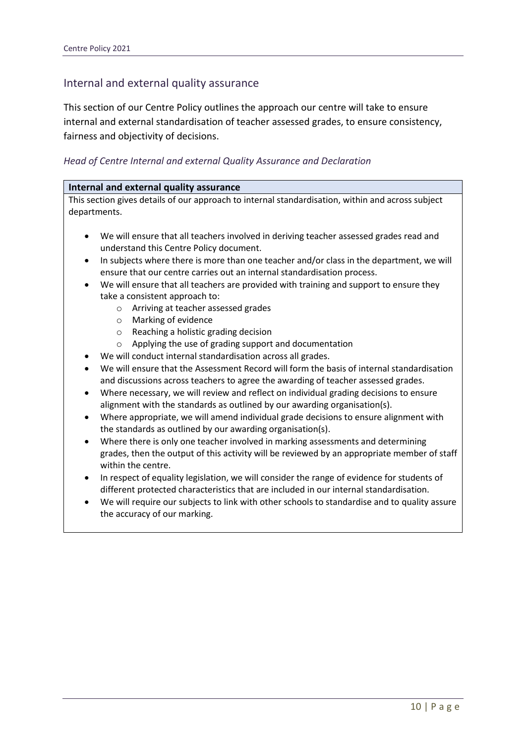### Internal and external quality assurance

This section of our Centre Policy outlines the approach our centre will take to ensure internal and external standardisation of teacher assessed grades, to ensure consistency, fairness and objectivity of decisions.

### *Head of Centre Internal and external Quality Assurance and Declaration*

| This section gives details of our approach to internal standardisation, within and across subject<br>departments.                                               |
|-----------------------------------------------------------------------------------------------------------------------------------------------------------------|
|                                                                                                                                                                 |
|                                                                                                                                                                 |
|                                                                                                                                                                 |
| We will ensure that all teachers involved in deriving teacher assessed grades read and                                                                          |
| understand this Centre Policy document.                                                                                                                         |
| In subjects where there is more than one teacher and/or class in the department, we will<br>$\bullet$                                                           |
| ensure that our centre carries out an internal standardisation process.                                                                                         |
| We will ensure that all teachers are provided with training and support to ensure they                                                                          |
| take a consistent approach to:                                                                                                                                  |
| Arriving at teacher assessed grades<br>$\circ$                                                                                                                  |
| Marking of evidence<br>$\circ$                                                                                                                                  |
| Reaching a holistic grading decision<br>$\circ$                                                                                                                 |
| Applying the use of grading support and documentation<br>$\circ$                                                                                                |
| We will conduct internal standardisation across all grades.                                                                                                     |
| We will ensure that the Assessment Record will form the basis of internal standardisation                                                                       |
| and discussions across teachers to agree the awarding of teacher assessed grades.                                                                               |
| Where necessary, we will review and reflect on individual grading decisions to ensure<br>$\bullet$                                                              |
| alignment with the standards as outlined by our awarding organisation(s).                                                                                       |
| Where appropriate, we will amend individual grade decisions to ensure alignment with<br>$\bullet$<br>the standards as outlined by our awarding organisation(s). |
| Where there is only one teacher involved in marking assessments and determining<br>$\bullet$                                                                    |
| grades, then the output of this activity will be reviewed by an appropriate member of staff                                                                     |
| within the centre.                                                                                                                                              |
| In respect of equality legislation, we will consider the range of evidence for students of<br>$\bullet$                                                         |
| different protected characteristics that are included in our internal standardisation.                                                                          |
| We will require our subjects to link with other schools to standardise and to quality assure<br>$\bullet$                                                       |
| the accuracy of our marking.                                                                                                                                    |
|                                                                                                                                                                 |
|                                                                                                                                                                 |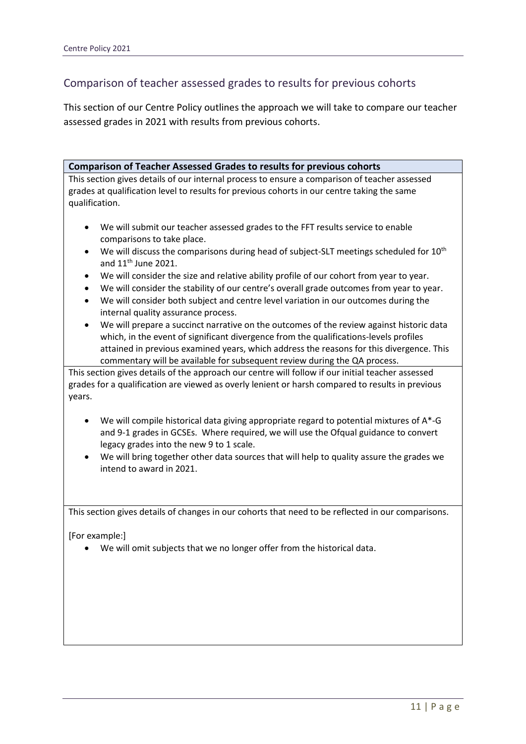### Comparison of teacher assessed grades to results for previous cohorts

This section of our Centre Policy outlines the approach we will take to compare our teacher assessed grades in 2021 with results from previous cohorts.

**Comparison of Teacher Assessed Grades to results for previous cohorts**

This section gives details of our internal process to ensure a comparison of teacher assessed grades at qualification level to results for previous cohorts in our centre taking the same qualification.

- We will submit our teacher assessed grades to the FFT results service to enable comparisons to take place.
- We will discuss the comparisons during head of subject-SLT meetings scheduled for  $10^{th}$ and  $11<sup>th</sup>$  June 2021.
- We will consider the size and relative ability profile of our cohort from year to year.
- We will consider the stability of our centre's overall grade outcomes from year to year.
- We will consider both subject and centre level variation in our outcomes during the internal quality assurance process.
- We will prepare a succinct narrative on the outcomes of the review against historic data which, in the event of significant divergence from the qualifications-levels profiles attained in previous examined years, which address the reasons for this divergence. This commentary will be available for subsequent review during the QA process.

This section gives details of the approach our centre will follow if our initial teacher assessed grades for a qualification are viewed as overly lenient or harsh compared to results in previous years.

- We will compile historical data giving appropriate regard to potential mixtures of A\*-G and 9-1 grades in GCSEs. Where required, we will use the Ofqual guidance to convert legacy grades into the new 9 to 1 scale.
- We will bring together other data sources that will help to quality assure the grades we intend to award in 2021.

This section gives details of changes in our cohorts that need to be reflected in our comparisons.

[For example:]

• We will omit subjects that we no longer offer from the historical data.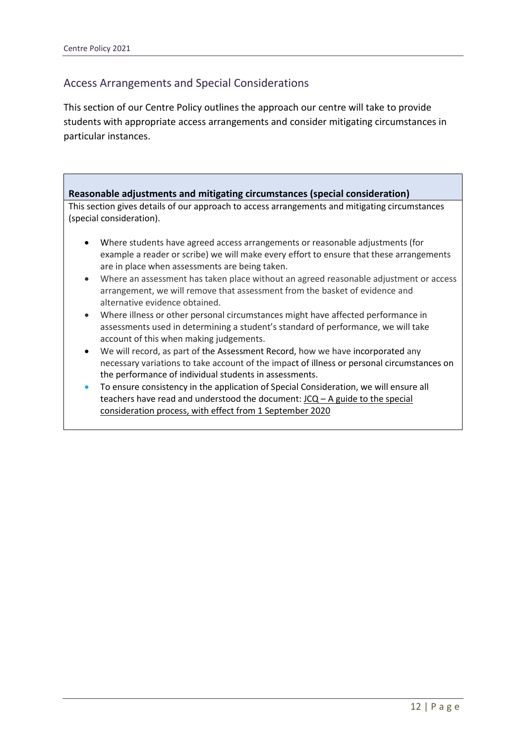### Access Arrangements and Special Considerations

This section of our Centre Policy outlines the approach our centre will take to provide students with appropriate access arrangements and consider mitigating circumstances in particular instances.

**Reasonable adjustments and mitigating circumstances (special consideration)** This section gives details of our approach to access arrangements and mitigating circumstances (special consideration). • Where students have agreed access arrangements or reasonable adjustments (for example a reader or scribe) we will make every effort to ensure that these arrangements are in place when assessments are being taken.

- Where an assessment has taken place without an agreed reasonable adjustment or access arrangement, we will remove that assessment from the basket of evidence and alternative evidence obtained.
- Where illness or other personal circumstances might have affected performance in assessments used in determining a student's standard of performance, we will take account of this when making judgements.
- We will record, as part of the Assessment Record, how we have incorporated any necessary variations to take account of the impact of illness or personal circumstances on the performance of individual students in assessments.
- To ensure consistency in the application of Special Consideration, we will ensure all teachers have read and understood the document:  $JCQ - A$  guide to the special [consideration process, with effect from 1 September 2020](https://www.jcq.org.uk/wp-content/uploads/2020/08/A-guide-to-the-spec-con-process-202021-Website-version.pdf)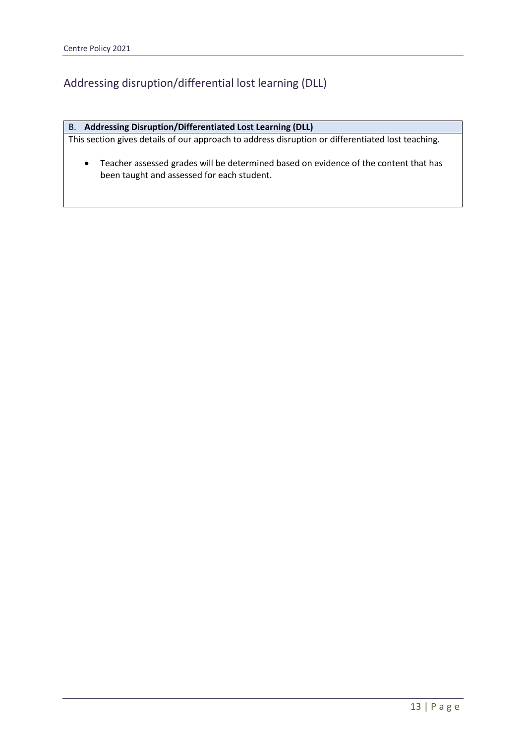### Addressing disruption/differential lost learning (DLL)

#### B. **Addressing Disruption/Differentiated Lost Learning (DLL)**

This section gives details of our approach to address disruption or differentiated lost teaching.

• Teacher assessed grades will be determined based on evidence of the content that has been taught and assessed for each student.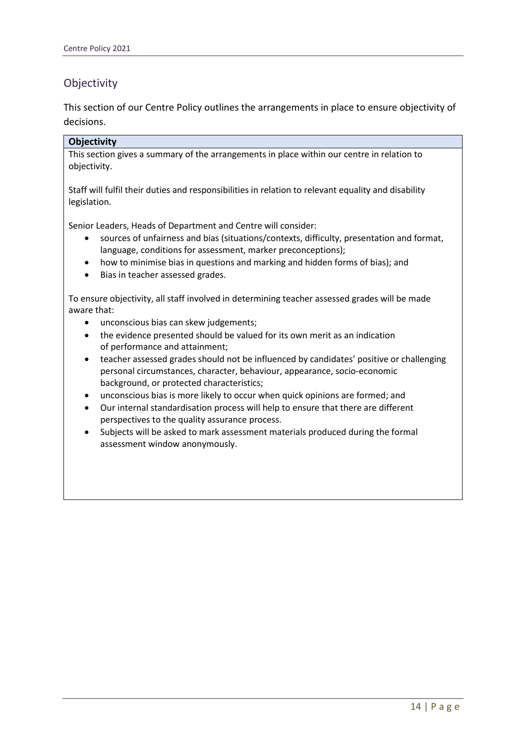### **Objectivity**

This section of our Centre Policy outlines the arrangements in place to ensure objectivity of decisions.

### **Objectivity**

This section gives a summary of the arrangements in place within our centre in relation to objectivity.

Staff will fulfil their duties and responsibilities in relation to relevant equality and disability legislation.

Senior Leaders, Heads of Department and Centre will consider:

- sources of unfairness and bias (situations/contexts, difficulty, presentation and format, language, conditions for assessment, marker preconceptions);
- how to minimise bias in questions and marking and hidden forms of bias); and
- Bias in teacher assessed grades.

To ensure objectivity, all staff involved in determining teacher assessed grades will be made aware that:

- unconscious bias can skew judgements;
- the evidence presented should be valued for its own merit as an indication of performance and attainment;
- teacher assessed grades should not be influenced by candidates' positive or challenging personal circumstances, character, behaviour, appearance, socio-economic background, or protected characteristics;
- unconscious bias is more likely to occur when quick opinions are formed; and
- Our internal standardisation process will help to ensure that there are different perspectives to the quality assurance process.
- Subjects will be asked to mark assessment materials produced during the formal assessment window anonymously.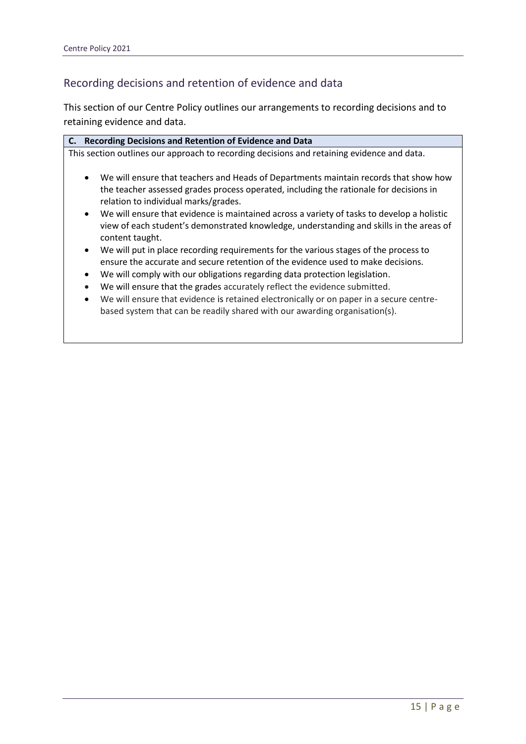### Recording decisions and retention of evidence and data

This section of our Centre Policy outlines our arrangements to recording decisions and to retaining evidence and data.

- We will ensure that the grades accurately reflect the evidence submitted.
- We will ensure that evidence is retained electronically or on paper in a secure centrebased system that can be readily shared with our awarding organisation(s).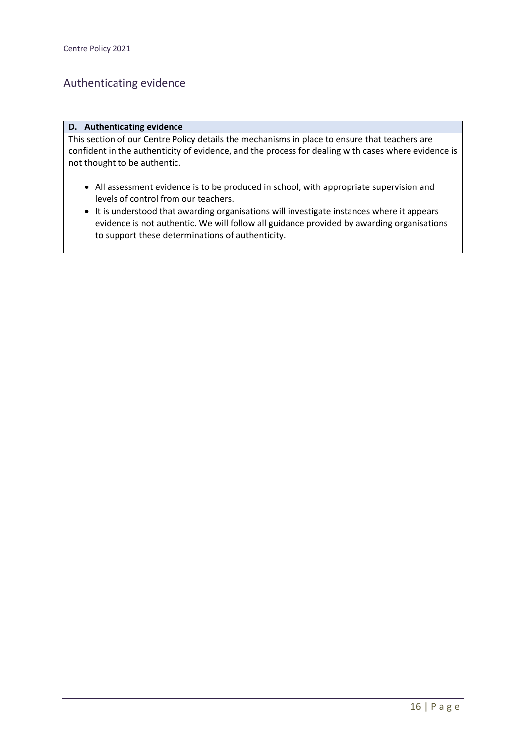### Authenticating evidence

#### **D. Authenticating evidence**

This section of our Centre Policy details the mechanisms in place to ensure that teachers are confident in the authenticity of evidence, and the process for dealing with cases where evidence is not thought to be authentic.

- All assessment evidence is to be produced in school, with appropriate supervision and levels of control from our teachers.
- It is understood that awarding organisations will investigate instances where it appears evidence is not authentic. We will follow all guidance provided by awarding organisations to support these determinations of authenticity.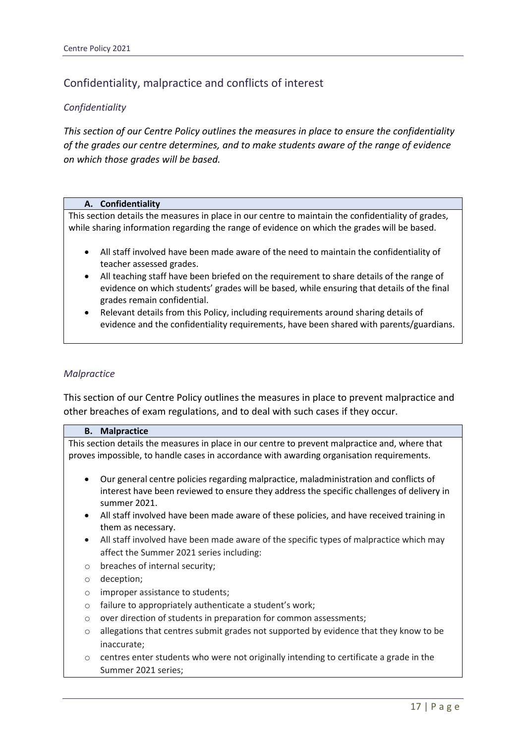### Confidentiality, malpractice and conflicts of interest

### *Confidentiality*

*This section of our Centre Policy outlines the measures in place to ensure the confidentiality of the grades our centre determines, and to make students aware of the range of evidence on which those grades will be based.*

#### **A. Confidentiality**

This section details the measures in place in our centre to maintain the confidentiality of grades, while sharing information regarding the range of evidence on which the grades will be based.

- All staff involved have been made aware of the need to maintain the confidentiality of teacher assessed grades.
- All teaching staff have been briefed on the requirement to share details of the range of evidence on which students' grades will be based, while ensuring that details of the final grades remain confidential.
- Relevant details from this Policy, including requirements around sharing details of evidence and the confidentiality requirements, have been shared with parents/guardians.

#### *Malpractice*

This section of our Centre Policy outlines the measures in place to prevent malpractice and other breaches of exam regulations, and to deal with such cases if they occur.

|                                                                                                 | <b>B.</b> Malpractice                                                                     |  |
|-------------------------------------------------------------------------------------------------|-------------------------------------------------------------------------------------------|--|
| This section details the measures in place in our centre to prevent malpractice and, where that |                                                                                           |  |
| proves impossible, to handle cases in accordance with awarding organisation requirements.       |                                                                                           |  |
|                                                                                                 |                                                                                           |  |
|                                                                                                 | Our general centre policies regarding malpractice, maladministration and conflicts of     |  |
|                                                                                                 | interest have been reviewed to ensure they address the specific challenges of delivery in |  |
|                                                                                                 | summer 2021.                                                                              |  |
|                                                                                                 | All staff involved have been made aware of these policies, and have received training in  |  |
|                                                                                                 | them as necessary.                                                                        |  |
| $\bullet$                                                                                       | All staff involved have been made aware of the specific types of malpractice which may    |  |
|                                                                                                 | affect the Summer 2021 series including:                                                  |  |
| $\circ$                                                                                         | breaches of internal security;                                                            |  |
| $\circ$                                                                                         | deception;                                                                                |  |
| $\circ$                                                                                         | improper assistance to students;                                                          |  |
| $\circ$                                                                                         | failure to appropriately authenticate a student's work;                                   |  |
| $\circ$                                                                                         | over direction of students in preparation for common assessments;                         |  |
| $\circ$                                                                                         | allegations that centres submit grades not supported by evidence that they know to be     |  |
|                                                                                                 | inaccurate;                                                                               |  |
| $\circ$                                                                                         | centres enter students who were not originally intending to certificate a grade in the    |  |
|                                                                                                 | Summer 2021 series;                                                                       |  |
|                                                                                                 |                                                                                           |  |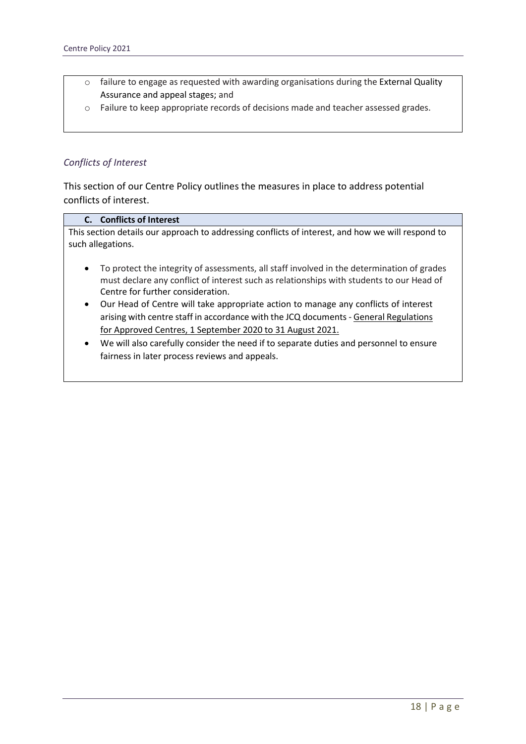- o failure to engage as requested with awarding organisations during the External Quality Assurance and appeal stages; and
- o Failure to keep appropriate records of decisions made and teacher assessed grades.

### *Conflicts of Interest*

This section of our Centre Policy outlines the measures in place to address potential conflicts of interest.

### **C. Conflicts of Interest**

This section details our approach to addressing conflicts of interest, and how we will respond to such allegations.

- To protect the integrity of assessments, all staff involved in the determination of grades must declare any conflict of interest such as relationships with students to our Head of Centre for further consideration.
- Our Head of Centre will take appropriate action to manage any conflicts of interest arising with centre staff in accordance with the JCQ documents - [General Regulations](https://www.jcq.org.uk/wp-content/uploads/2020/09/Gen_regs_approved_centres_20-21_FINAL.pdf)  [for Approved Centres, 1 September 2020 to 31 August 2021.](https://www.jcq.org.uk/wp-content/uploads/2020/09/Gen_regs_approved_centres_20-21_FINAL.pdf)
- We will also carefully consider the need if to separate duties and personnel to ensure fairness in later process reviews and appeals.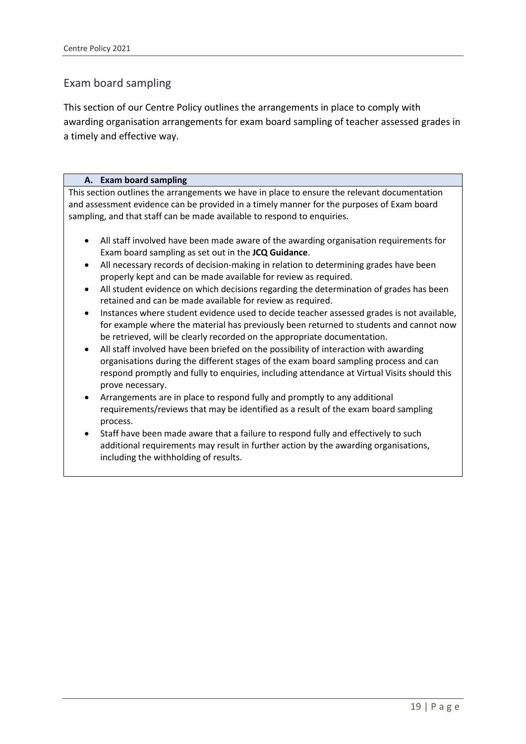### Exam board sampling

This section of our Centre Policy outlines the arrangements in place to comply with awarding organisation arrangements for exam board sampling of teacher assessed grades in a timely and effective way.

#### **A. Exam board sampling**

This section outlines the arrangements we have in place to ensure the relevant documentation and assessment evidence can be provided in a timely manner for the purposes of Exam board sampling, and that staff can be made available to respond to enquiries.

- All staff involved have been made aware of the awarding organisation requirements for Exam board sampling as set out in the **JCQ Guidance**.
- All necessary records of decision-making in relation to determining grades have been properly kept and can be made available for review as required.
- All student evidence on which decisions regarding the determination of grades has been retained and can be made available for review as required.
- Instances where student evidence used to decide teacher assessed grades is not available, for example where the material has previously been returned to students and cannot now be retrieved, will be clearly recorded on the appropriate documentation.
- All staff involved have been briefed on the possibility of interaction with awarding organisations during the different stages of the exam board sampling process and can respond promptly and fully to enquiries, including attendance at Virtual Visits should this prove necessary.
- Arrangements are in place to respond fully and promptly to any additional requirements/reviews that may be identified as a result of the exam board sampling process.
- Staff have been made aware that a failure to respond fully and effectively to such additional requirements may result in further action by the awarding organisations, including the withholding of results.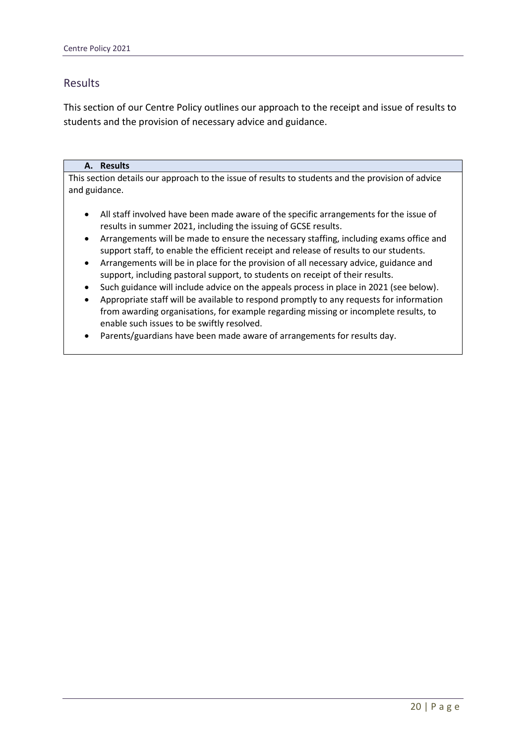### Results

This section of our Centre Policy outlines our approach to the receipt and issue of results to students and the provision of necessary advice and guidance.

#### **A. Results**

This section details our approach to the issue of results to students and the provision of advice and guidance.

- All staff involved have been made aware of the specific arrangements for the issue of results in summer 2021, including the issuing of GCSE results.
- Arrangements will be made to ensure the necessary staffing, including exams office and support staff, to enable the efficient receipt and release of results to our students.
- Arrangements will be in place for the provision of all necessary advice, guidance and support, including pastoral support, to students on receipt of their results.
- Such guidance will include advice on the appeals process in place in 2021 (see below).
- Appropriate staff will be available to respond promptly to any requests for information from awarding organisations, for example regarding missing or incomplete results, to enable such issues to be swiftly resolved.
- Parents/guardians have been made aware of arrangements for results day.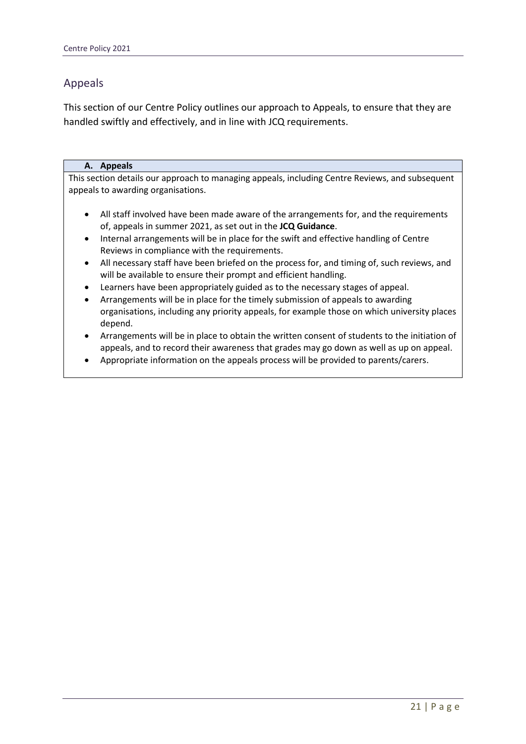### Appeals

This section of our Centre Policy outlines our approach to Appeals, to ensure that they are handled swiftly and effectively, and in line with JCQ requirements.

#### **A. Appeals**

This section details our approach to managing appeals, including Centre Reviews, and subsequent appeals to awarding organisations.

- All staff involved have been made aware of the arrangements for, and the requirements of, appeals in summer 2021, as set out in the **JCQ Guidance**.
- Internal arrangements will be in place for the swift and effective handling of Centre Reviews in compliance with the requirements.
- All necessary staff have been briefed on the process for, and timing of, such reviews, and will be available to ensure their prompt and efficient handling.
- Learners have been appropriately guided as to the necessary stages of appeal.
- Arrangements will be in place for the timely submission of appeals to awarding organisations, including any priority appeals, for example those on which university places depend.
- Arrangements will be in place to obtain the written consent of students to the initiation of appeals, and to record their awareness that grades may go down as well as up on appeal.
- Appropriate information on the appeals process will be provided to parents/carers.